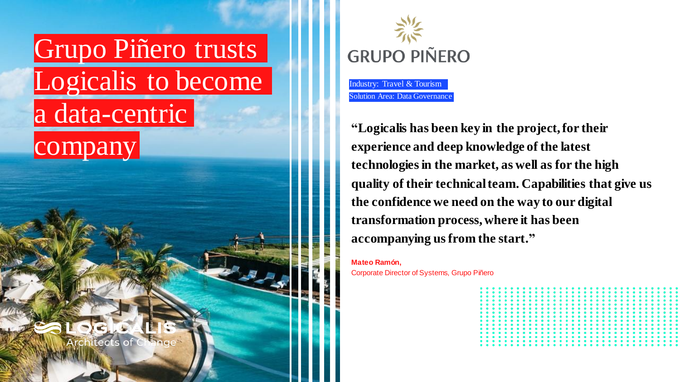



Industry: Travel & Tourism

**"Logicalis has been key in the project, for their experience and deep knowledge of the latest technologies in the market, as well as for the high quality of their technical team. Capabilities that give us the confidence we need on the way to our digital transformation process, where it has been accompanying us from the start."**

**Mateo Ramón,**  Corporate Director of Systems, Grupo Piñero